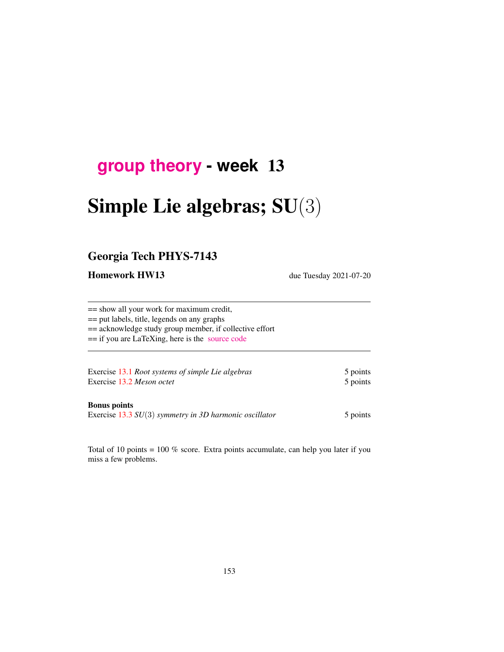# **[group theory](http://birdtracks.eu/course3/schedule.html) - week** 13

# Simple Lie algebras; SU(3)

## Georgia Tech PHYS-7143

Homework HW13 due Tuesday 2021-07-20

== show all your work for maximum credit, == put labels, title, legends on any graphs == acknowledge study group member, if collective effort == if you are LaTeXing, here is the [source code](http://birdtracks.eu/course3/exerWeek13.tex)

Exercise [13.1](#page-2-0) *Root systems of simple Lie algebras* 5 points Exercise [13.2](#page-2-1) *Meson octet* 5 points

#### Bonus points

Exercise [13.3](#page-3-0) *SU*(3) *symmetry in 3D harmonic oscillator* 5 points

Total of 10 points = 100 % score. Extra points accumulate, can help you later if you miss a few problems.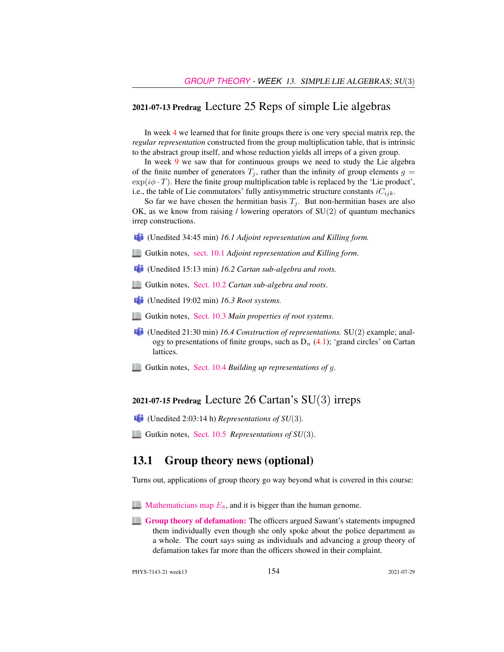#### 2021-07-13 Predrag Lecture 25 Reps of simple Lie algebras

In week 4 we learned that for finite groups there is one very special matrix rep, the *regular representation* constructed from the group multiplication table, that is intrinsic to the abstract group itself, and whose reduction yields all irreps of a given group.

In week 9 we saw that for continuous groups we need to study the Lie algebra of the finite number of generators  $T_i$ , rather than the infinity of group elements  $g =$  $\exp(i\phi \cdot T)$ . Here the finite group multiplication table is replaced by the 'Lie product', i.e., the table of Lie commutators' fully antisymmetric structure constants  $iC_{ijk}$ .

So far we have chosen the hermitian basis  $T_i$ . But non-hermitian bases are also OK, as we know from raising / lowering operators of  $SU(2)$  of quantum mechanics irrep constructions.

- (Unedited 34:45 min) *16.1 Adjoint representation and Killing form.*
- Gutkin notes, [sect. 10.1](http://birdtracks.eu/course3/groups.pdf#section.10.1) *Adjoint representation and Killing form*.
- (Unedited 15:13 min) *16.2 Cartan sub-algebra and roots.*
- Gutkin notes, [Sect. 10.2](http://birdtracks.eu/course3/groups.pdf#section.10.2) *Cartan sub-algebra and roots*.
- (Unedited 19:02 min) *16.3 Root systems.*
- Gutkin notes, [Sect. 10.3](http://birdtracks.eu/course3/groups.pdf#section.10.3) *Main properties of root systems*.
- (Unedited 21:30 min) *16.4 Construction of representations.* SU(2) example; analogy to presentations of finite groups, such as  $D_n$  (4.1); 'grand circles' on Cartan lattices.
- Gutkin notes, [Sect. 10.4](http://birdtracks.eu/course3/groups.pdf#section.10.4) *Building up representations of* g.

#### 2021-07-15 Predrag Lecture 26 Cartan's  $SU(3)$  irreps

- (Unedited 2:03:14 h) *Representations of SU*(3)*.*
- Gutkin notes, [Sect. 10.5](http://birdtracks.eu/course3/groups.pdf#section.10.5) *Representations of SU*(3).

#### 13.1 Group theory news (optional)

Turns out, applications of group theory go way beyond what is covered in this course:

- **[Mathematicians map](https://www.aimath.org/E8/)**  $E_8$ **, and it is bigger than the human genome.**
- **[Group theory of defamation:](https://www.techdirt.com/articles/20190303/10531941722/federal-judge-tosses-cops-lawsuit-against-councilmember-who-said-police-dept-had-committed-murder.shtml)** The officers argued Sawant's statements impugned them individually even though she only spoke about the police department as a whole. The court says suing as individuals and advancing a group theory of defamation takes far more than the officers showed in their complaint.

PHYS-7143-21 week13 154 2021-07-29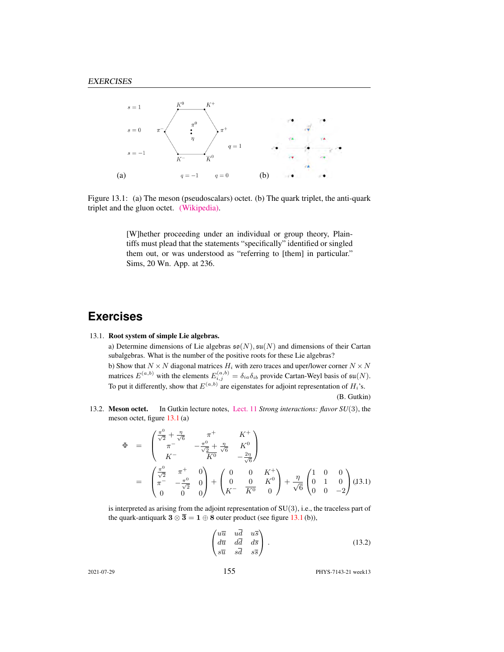

Figure 13.1: (a) The meson (pseudoscalars) octet. (b) The quark triplet, the anti-quark triplet and the gluon octet. [\(Wikipedia\).](https://en.wikipedia.org/wiki/Color_charge)

<span id="page-2-2"></span>[W]hether proceeding under an individual or group theory, Plaintiffs must plead that the statements "specifically" identified or singled them out, or was understood as "referring to [them] in particular." Sims, 20 Wn. App. at 236.

## **Exercises**

#### <span id="page-2-0"></span>13.1. Root system of simple Lie algebras.

a) Determine dimensions of Lie algebras  $\mathfrak{so}(N)$ ,  $\mathfrak{su}(N)$  and dimensions of their Cartan subalgebras. What is the number of the positive roots for these Lie algebras? b) Show that  $N \times N$  diagonal matrices  $H_i$  with zero traces and uper/lower corner  $N \times N$ matrices  $E^{(a,b)}$  with the elements  $E^{(a,b)}_{i,j} = \delta_{ia}\delta_{ib}$  provide Cartan-Weyl basis of  $\mathfrak{su}(N)$ . To put it differently, show that  $E^{(a,b)}$  are eigenstates for adjoint representation of  $H_i$ 's.

(B. Gutkin)

<span id="page-2-1"></span>13.2. Meson octet. In Gutkin lecture notes, [Lect. 11](http://birdtracks.eu/course3/groups.pdf#chapter.11) *Strong interactions: flavor SU*(3), the meson octet, figure [13.1](#page-2-2) (a)

<span id="page-2-3"></span>
$$
\Phi = \begin{pmatrix} \frac{\pi^0}{\sqrt{2}} + \frac{\eta}{\sqrt{6}} & \pi^+ & K^+ \\ \pi^- & -\frac{\pi^0}{\sqrt{2}} + \frac{\eta}{\sqrt{6}} & K^0 \\ K^- & \overline{K^0} & -\frac{2\eta}{\sqrt{6}} \end{pmatrix}
$$

$$
= \begin{pmatrix} \frac{\pi^0}{\sqrt{2}} & \pi^+ & 0 \\ \pi^- & -\frac{\pi^0}{\sqrt{2}} & 0 \\ 0 & 0 & 0 \end{pmatrix} + \begin{pmatrix} 0 & 0 & K^+ \\ 0 & 0 & K^0 \\ K^- & \overline{K^0} & 0 \end{pmatrix} + \frac{\eta}{\sqrt{6}} \begin{pmatrix} 1 & 0 & 0 \\ 0 & 1 & 0 \\ 0 & 0 & -2 \end{pmatrix} (J3.1)
$$

is interpreted as arising from the adjoint representation of  $SU(3)$ , i.e., the traceless part of the quark-antiquark  $3 \otimes \overline{3} = 1 \oplus 8$  outer product (see figure [13.1](#page-2-2) (b)),

$$
\begin{pmatrix} u\overline{u} & u\overline{d} & u\overline{s} \\ d\overline{u} & d\overline{d} & d\overline{s} \\ s\overline{u} & s\overline{d} & s\overline{s} \end{pmatrix} . \tag{13.2}
$$

2021-07-29 155 PHYS-7143-21 week13